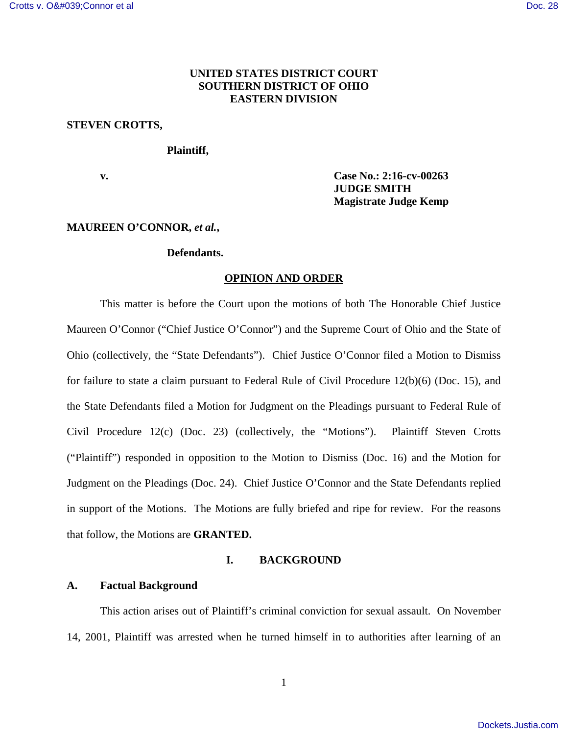# **UNITED STATES DISTRICT COURT SOUTHERN DISTRICT OF OHIO EASTERN DIVISION**

# **STEVEN CROTTS,**

### **Plaintiff,**

**v. Case No.: 2:16-cv-00263 JUDGE SMITH Magistrate Judge Kemp**

### **MAUREEN O'CONNOR,** *et al.***,**

# **Defendants.**

#### **OPINION AND ORDER**

This matter is before the Court upon the motions of both The Honorable Chief Justice Maureen O'Connor ("Chief Justice O'Connor") and the Supreme Court of Ohio and the State of Ohio (collectively, the "State Defendants"). Chief Justice O'Connor filed a Motion to Dismiss for failure to state a claim pursuant to Federal Rule of Civil Procedure 12(b)(6) (Doc. 15), and the State Defendants filed a Motion for Judgment on the Pleadings pursuant to Federal Rule of Civil Procedure 12(c) (Doc. 23) (collectively, the "Motions"). Plaintiff Steven Crotts ("Plaintiff") responded in opposition to the Motion to Dismiss (Doc. 16) and the Motion for Judgment on the Pleadings (Doc. 24). Chief Justice O'Connor and the State Defendants replied in support of the Motions. The Motions are fully briefed and ripe for review. For the reasons that follow, the Motions are **GRANTED.** 

# **I. BACKGROUND**

#### **A. Factual Background**

This action arises out of Plaintiff's criminal conviction for sexual assault. On November 14, 2001, Plaintiff was arrested when he turned himself in to authorities after learning of an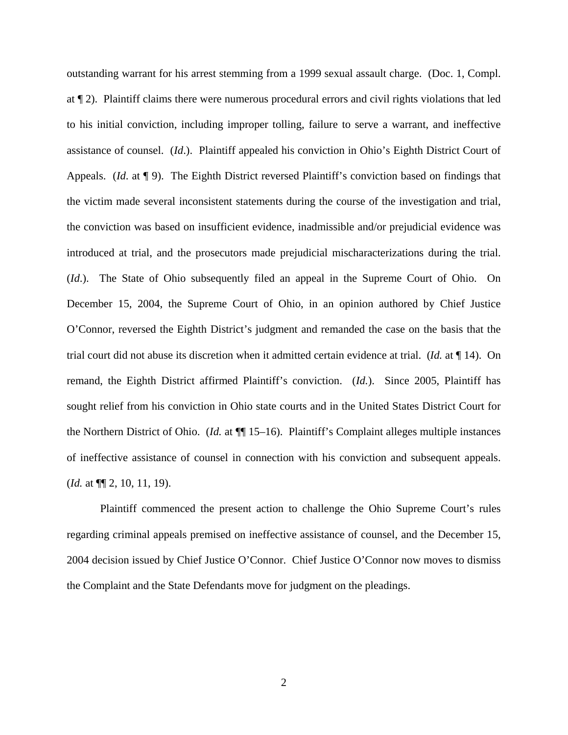outstanding warrant for his arrest stemming from a 1999 sexual assault charge. (Doc. 1, Compl. at ¶ 2). Plaintiff claims there were numerous procedural errors and civil rights violations that led to his initial conviction, including improper tolling, failure to serve a warrant, and ineffective assistance of counsel. (*Id*.). Plaintiff appealed his conviction in Ohio's Eighth District Court of Appeals. (*Id*. at ¶ 9). The Eighth District reversed Plaintiff's conviction based on findings that the victim made several inconsistent statements during the course of the investigation and trial, the conviction was based on insufficient evidence, inadmissible and/or prejudicial evidence was introduced at trial, and the prosecutors made prejudicial mischaracterizations during the trial. (*Id*.). The State of Ohio subsequently filed an appeal in the Supreme Court of Ohio. On December 15, 2004, the Supreme Court of Ohio, in an opinion authored by Chief Justice O'Connor, reversed the Eighth District's judgment and remanded the case on the basis that the trial court did not abuse its discretion when it admitted certain evidence at trial. (*Id.* at ¶ 14). On remand, the Eighth District affirmed Plaintiff's conviction. (*Id.*). Since 2005, Plaintiff has sought relief from his conviction in Ohio state courts and in the United States District Court for the Northern District of Ohio. (*Id.* at ¶¶ 15–16). Plaintiff's Complaint alleges multiple instances of ineffective assistance of counsel in connection with his conviction and subsequent appeals. (*Id.* at ¶¶ 2, 10, 11, 19).

Plaintiff commenced the present action to challenge the Ohio Supreme Court's rules regarding criminal appeals premised on ineffective assistance of counsel, and the December 15, 2004 decision issued by Chief Justice O'Connor. Chief Justice O'Connor now moves to dismiss the Complaint and the State Defendants move for judgment on the pleadings.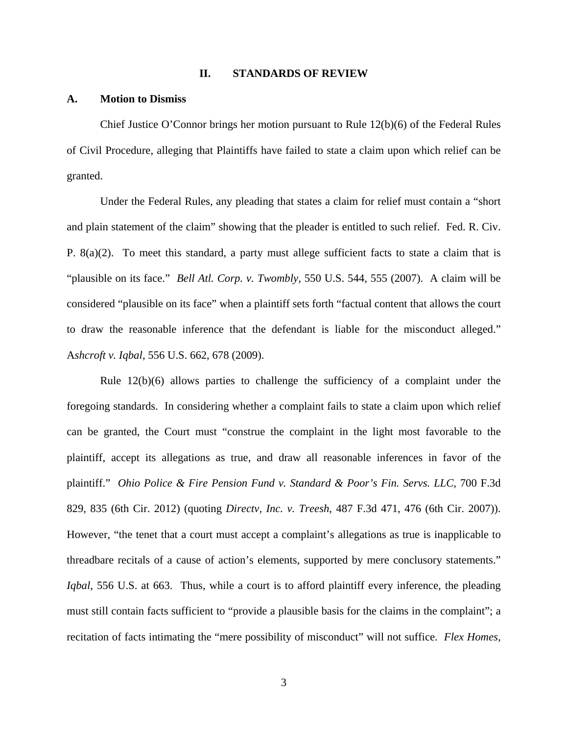#### **II. STANDARDS OF REVIEW**

#### **A. Motion to Dismiss**

Chief Justice O'Connor brings her motion pursuant to Rule 12(b)(6) of the Federal Rules of Civil Procedure, alleging that Plaintiffs have failed to state a claim upon which relief can be granted.

 Under the Federal Rules, any pleading that states a claim for relief must contain a "short and plain statement of the claim" showing that the pleader is entitled to such relief. Fed. R. Civ. P. 8(a)(2). To meet this standard, a party must allege sufficient facts to state a claim that is "plausible on its face." *Bell Atl. Corp. v. Twombly,* 550 U.S. 544, 555 (2007). A claim will be considered "plausible on its face" when a plaintiff sets forth "factual content that allows the court to draw the reasonable inference that the defendant is liable for the misconduct alleged." A*shcroft v. Iqbal*, 556 U.S. 662, 678 (2009).

 Rule 12(b)(6) allows parties to challenge the sufficiency of a complaint under the foregoing standards. In considering whether a complaint fails to state a claim upon which relief can be granted, the Court must "construe the complaint in the light most favorable to the plaintiff, accept its allegations as true, and draw all reasonable inferences in favor of the plaintiff." *Ohio Police & Fire Pension Fund v. Standard & Poor's Fin. Servs. LLC*, 700 F.3d 829, 835 (6th Cir. 2012) (quoting *Directv, Inc. v. Treesh*, 487 F.3d 471, 476 (6th Cir. 2007)). However, "the tenet that a court must accept a complaint's allegations as true is inapplicable to threadbare recitals of a cause of action's elements, supported by mere conclusory statements." *Iqbal*, 556 U.S. at 663. Thus, while a court is to afford plaintiff every inference, the pleading must still contain facts sufficient to "provide a plausible basis for the claims in the complaint"; a recitation of facts intimating the "mere possibility of misconduct" will not suffice. *Flex Homes,*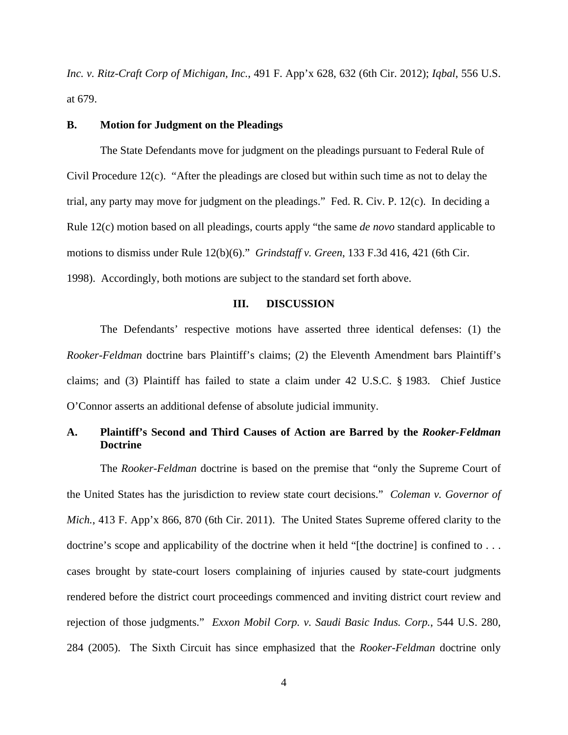*Inc. v. Ritz-Craft Corp of Michigan, Inc.*, 491 F. App'x 628, 632 (6th Cir. 2012); *Iqbal*, 556 U.S. at 679.

# **B. Motion for Judgment on the Pleadings**

The State Defendants move for judgment on the pleadings pursuant to Federal Rule of Civil Procedure 12(c). "After the pleadings are closed but within such time as not to delay the trial, any party may move for judgment on the pleadings." Fed. R. Civ. P. 12(c). In deciding a Rule 12(c) motion based on all pleadings, courts apply "the same *de novo* standard applicable to motions to dismiss under Rule 12(b)(6)." *Grindstaff v. Green*, 133 F.3d 416, 421 (6th Cir. 1998). Accordingly, both motions are subject to the standard set forth above.

# **III. DISCUSSION**

The Defendants' respective motions have asserted three identical defenses: (1) the *Rooker-Feldman* doctrine bars Plaintiff's claims; (2) the Eleventh Amendment bars Plaintiff's claims; and (3) Plaintiff has failed to state a claim under 42 U.S.C. § 1983. Chief Justice O'Connor asserts an additional defense of absolute judicial immunity.

# **A. Plaintiff's Second and Third Causes of Action are Barred by the** *Rooker-Feldman* **Doctrine**

The *Rooker-Feldman* doctrine is based on the premise that "only the Supreme Court of the United States has the jurisdiction to review state court decisions." *Coleman v. Governor of Mich.*, 413 F. App'x 866, 870 (6th Cir. 2011). The United States Supreme offered clarity to the doctrine's scope and applicability of the doctrine when it held "[the doctrine] is confined to ... cases brought by state-court losers complaining of injuries caused by state-court judgments rendered before the district court proceedings commenced and inviting district court review and rejection of those judgments." *Exxon Mobil Corp. v. Saudi Basic Indus. Corp.*, 544 U.S. 280, 284 (2005). The Sixth Circuit has since emphasized that the *Rooker-Feldman* doctrine only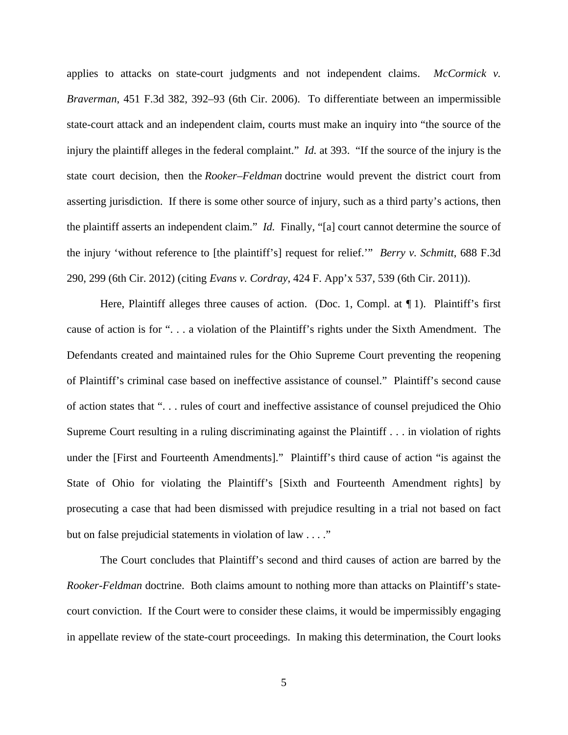applies to attacks on state-court judgments and not independent claims. *McCormick v. Braverman*, 451 F.3d 382, 392–93 (6th Cir. 2006). To differentiate between an impermissible state-court attack and an independent claim, courts must make an inquiry into "the source of the injury the plaintiff alleges in the federal complaint." *Id.* at 393. "If the source of the injury is the state court decision, then the *Rooker–Feldman* doctrine would prevent the district court from asserting jurisdiction. If there is some other source of injury, such as a third party's actions, then the plaintiff asserts an independent claim." *Id.* Finally, "[a] court cannot determine the source of the injury 'without reference to [the plaintiff's] request for relief.'" *Berry v. Schmitt*, 688 F.3d 290, 299 (6th Cir. 2012) (citing *Evans v. Cordray*, 424 F. App'x 537, 539 (6th Cir. 2011)).

Here, Plaintiff alleges three causes of action. (Doc. 1, Compl. at  $\P$  1). Plaintiff's first cause of action is for ". . . a violation of the Plaintiff's rights under the Sixth Amendment. The Defendants created and maintained rules for the Ohio Supreme Court preventing the reopening of Plaintiff's criminal case based on ineffective assistance of counsel." Plaintiff's second cause of action states that ". . . rules of court and ineffective assistance of counsel prejudiced the Ohio Supreme Court resulting in a ruling discriminating against the Plaintiff . . . in violation of rights under the [First and Fourteenth Amendments]." Plaintiff's third cause of action "is against the State of Ohio for violating the Plaintiff's [Sixth and Fourteenth Amendment rights] by prosecuting a case that had been dismissed with prejudice resulting in a trial not based on fact but on false prejudicial statements in violation of law . . . ."

The Court concludes that Plaintiff's second and third causes of action are barred by the *Rooker-Feldman* doctrine. Both claims amount to nothing more than attacks on Plaintiff's statecourt conviction. If the Court were to consider these claims, it would be impermissibly engaging in appellate review of the state-court proceedings. In making this determination, the Court looks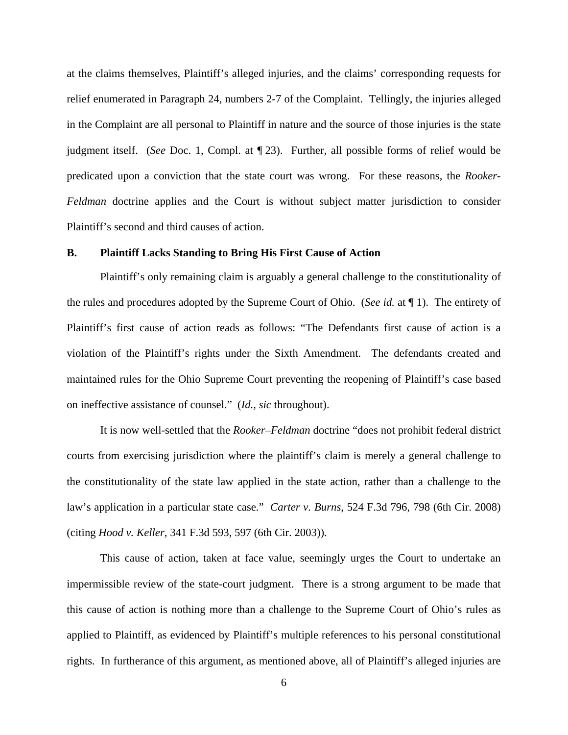at the claims themselves, Plaintiff's alleged injuries, and the claims' corresponding requests for relief enumerated in Paragraph 24, numbers 2-7 of the Complaint. Tellingly, the injuries alleged in the Complaint are all personal to Plaintiff in nature and the source of those injuries is the state judgment itself. (*See* Doc. 1, Compl. at ¶ 23). Further, all possible forms of relief would be predicated upon a conviction that the state court was wrong. For these reasons, the *Rooker-Feldman* doctrine applies and the Court is without subject matter jurisdiction to consider Plaintiff's second and third causes of action.

# **B. Plaintiff Lacks Standing to Bring His First Cause of Action**

Plaintiff's only remaining claim is arguably a general challenge to the constitutionality of the rules and procedures adopted by the Supreme Court of Ohio. (*See id.* at ¶ 1). The entirety of Plaintiff's first cause of action reads as follows: "The Defendants first cause of action is a violation of the Plaintiff's rights under the Sixth Amendment. The defendants created and maintained rules for the Ohio Supreme Court preventing the reopening of Plaintiff's case based on ineffective assistance of counsel." (*Id.*, *sic* throughout).

It is now well-settled that the *Rooker–Feldman* doctrine "does not prohibit federal district courts from exercising jurisdiction where the plaintiff's claim is merely a general challenge to the constitutionality of the state law applied in the state action, rather than a challenge to the law's application in a particular state case." *Carter v. Burns*, 524 F.3d 796, 798 (6th Cir. 2008) (citing *Hood v. Keller*, 341 F.3d 593, 597 (6th Cir. 2003)).

This cause of action, taken at face value, seemingly urges the Court to undertake an impermissible review of the state-court judgment. There is a strong argument to be made that this cause of action is nothing more than a challenge to the Supreme Court of Ohio's rules as applied to Plaintiff, as evidenced by Plaintiff's multiple references to his personal constitutional rights. In furtherance of this argument, as mentioned above, all of Plaintiff's alleged injuries are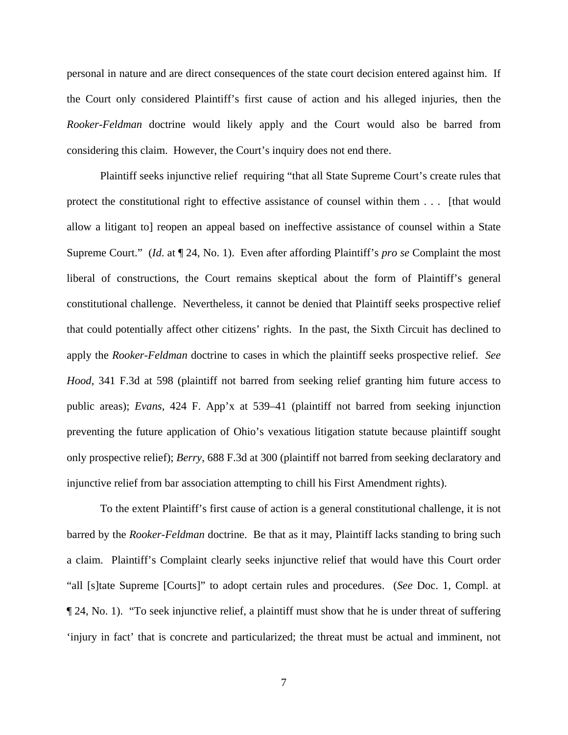personal in nature and are direct consequences of the state court decision entered against him. If the Court only considered Plaintiff's first cause of action and his alleged injuries, then the *Rooker-Feldman* doctrine would likely apply and the Court would also be barred from considering this claim. However, the Court's inquiry does not end there.

Plaintiff seeks injunctive relief requiring "that all State Supreme Court's create rules that protect the constitutional right to effective assistance of counsel within them . . . [that would allow a litigant to] reopen an appeal based on ineffective assistance of counsel within a State Supreme Court." (*Id*. at ¶ 24, No. 1). Even after affording Plaintiff's *pro se* Complaint the most liberal of constructions, the Court remains skeptical about the form of Plaintiff's general constitutional challenge. Nevertheless, it cannot be denied that Plaintiff seeks prospective relief that could potentially affect other citizens' rights. In the past, the Sixth Circuit has declined to apply the *Rooker-Feldman* doctrine to cases in which the plaintiff seeks prospective relief. *See Hood*, 341 F.3d at 598 (plaintiff not barred from seeking relief granting him future access to public areas); *Evans*, 424 F. App'x at 539–41 (plaintiff not barred from seeking injunction preventing the future application of Ohio's vexatious litigation statute because plaintiff sought only prospective relief); *Berry*, 688 F.3d at 300 (plaintiff not barred from seeking declaratory and injunctive relief from bar association attempting to chill his First Amendment rights).

To the extent Plaintiff's first cause of action is a general constitutional challenge, it is not barred by the *Rooker-Feldman* doctrine. Be that as it may, Plaintiff lacks standing to bring such a claim. Plaintiff's Complaint clearly seeks injunctive relief that would have this Court order "all [s]tate Supreme [Courts]" to adopt certain rules and procedures. (*See* Doc. 1, Compl. at ¶ 24, No. 1). "To seek injunctive relief, a plaintiff must show that he is under threat of suffering 'injury in fact' that is concrete and particularized; the threat must be actual and imminent, not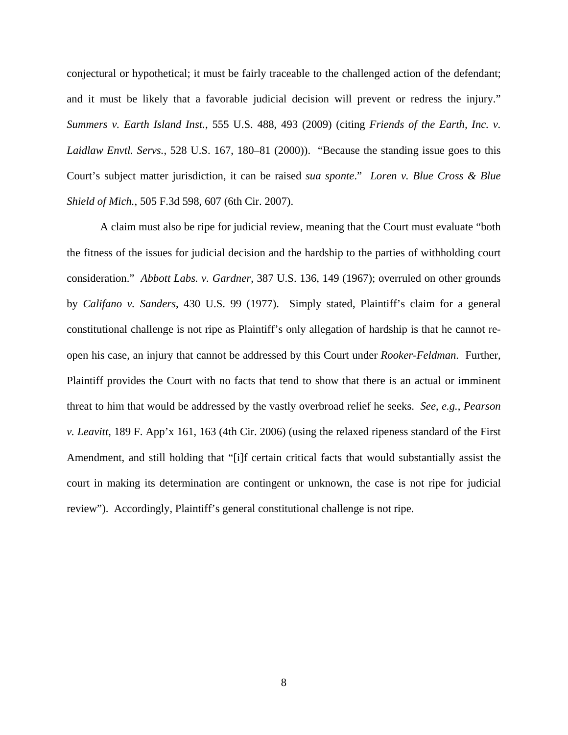conjectural or hypothetical; it must be fairly traceable to the challenged action of the defendant; and it must be likely that a favorable judicial decision will prevent or redress the injury." *Summers v. Earth Island Inst.*, 555 U.S. 488, 493 (2009) (citing *Friends of the Earth, Inc. v. Laidlaw Envtl. Servs.*, 528 U.S. 167, 180–81 (2000)). "Because the standing issue goes to this Court's subject matter jurisdiction, it can be raised *sua sponte*." *Loren v. Blue Cross & Blue Shield of Mich.*, 505 F.3d 598, 607 (6th Cir. 2007).

A claim must also be ripe for judicial review, meaning that the Court must evaluate "both the fitness of the issues for judicial decision and the hardship to the parties of withholding court consideration." *Abbott Labs. v. Gardner*, 387 U.S. 136, 149 (1967); overruled on other grounds by *Califano v. Sanders*, 430 U.S. 99 (1977). Simply stated, Plaintiff's claim for a general constitutional challenge is not ripe as Plaintiff's only allegation of hardship is that he cannot reopen his case, an injury that cannot be addressed by this Court under *Rooker-Feldman*. Further, Plaintiff provides the Court with no facts that tend to show that there is an actual or imminent threat to him that would be addressed by the vastly overbroad relief he seeks. *See*, *e.g.*, *Pearson v. Leavitt*, 189 F. App'x 161, 163 (4th Cir. 2006) (using the relaxed ripeness standard of the First Amendment, and still holding that "[i]f certain critical facts that would substantially assist the court in making its determination are contingent or unknown, the case is not ripe for judicial review"). Accordingly, Plaintiff's general constitutional challenge is not ripe.